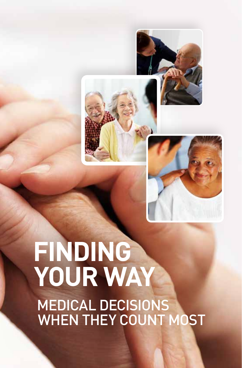



# **Finding Your Way** Medical Decisions WHEN THEY COUNT MOS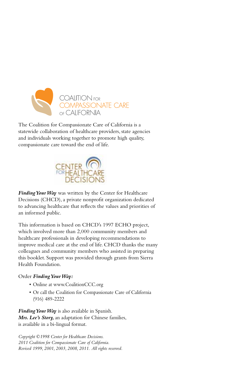

The Coalition for Compassionate Care of California is a statewide collaboration of healthcare providers, state agencies and individuals working together to promote high quality, compassionate care toward the end of life.



*Finding Your Way* was written by the Center for Healthcare Decisions (CHCD), a private nonprofit organization dedicated to advancing healthcare that reflects the values and priorities of an informed public.

This information is based on CHCD's 1997 ECHO project, which involved more than 2,000 community members and healthcare professionals in developing recommendations to improve medical care at the end of life. CHCD thanks the many colleagues and community members who assisted in preparing this booklet. Support was provided through grants from Sierra Health Foundation.

#### Order *Finding Your Way:*

- Online at www.CoalitionCCC.org
- Or call the Coalition for Compassionate Care of California (916) 489-2222

*Finding Your Way* is also available in Spanish. *Mrs. Lee's Story,* an adaptation for Chinese families, is available in a bi-lingual format.

*Copyright ©1998 Center for Healthcare Decisions. 2011 Coalition for Compassionate Care of California. Revised 1999, 2001, 2003, 2008, 2011. All rights reserved.*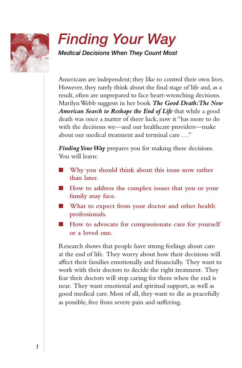

## *Finding Your Way*

*Medical Decisions When They Count Most*

Americans are independent; they like to control their own lives. However, they rarely think about the final stage of life and, as a result, often are unprepared to face heart-wrenching decisions. Marilyn Webb suggests in her book *The Good Death: The New American Search to Reshape the End of Life* that while a good death was once a matter of sheer luck, now it "has more to do with the decisions we—and our healthcare providers—make about our medical treatment and terminal care . . ."

*Finding Your Way* prepares you for making these decisions. You will learn:

- n **Why you should think about this issue now rather than later.**
- How to address the complex issues that you or your **family may face.**
- $\blacksquare$  What to expect from your doctor and other health **professionals.**
- How to advocate for compassionate care for yourself **or a loved one.**

Research shows that people have strong feelings about care at the end of life. They worry about how their decisions will affect their families emotionally and financially. They want to work with their doctors to decide the right treatment. They fear their doctors will stop caring for them when the end is near. They want emotional and spiritual support, as well as good medical care. Most of all, they want to die as peacefully as possible, free from severe pain and suffering.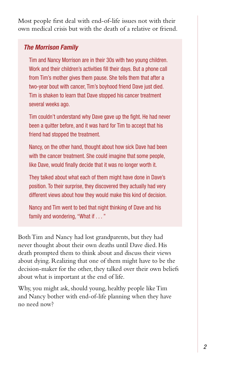Most people first deal with end-of-life issues not with their own medical crisis but with the death of a relative or friend.

#### *The Morrison Family*

Tim and Nancy Morrison are in their 30s with two young children. Work and their children's activities fill their days. But a phone call from Tim's mother gives them pause. She tells them that after a two-year bout with cancer, Tim's boyhood friend Dave just died. Tim is shaken to learn that Dave stopped his cancer treatment several weeks ago.

Tim couldn't understand why Dave gave up the fight. He had never been a quitter before, and it was hard for Tim to accept that his friend had stopped the treatment.

Nancy, on the other hand, thought about how sick Dave had been with the cancer treatment. She could imagine that some people, like Dave, would finally decide that it was no longer worth it.

They talked about what each of them might have done in Dave's position. To their surprise, they discovered they actually had very different views about how they would make this kind of decision.

Nancy and Tim went to bed that night thinking of Dave and his family and wondering, "What if . . . "

Both Tim and Nancy had lost grandparents, but they had never thought about their own deaths until Dave died. His death prompted them to think about and discuss their views about dying. Realizing that one of them might have to be the decision-maker for the other, they talked over their own beliefs about what is important at the end of life.

Why, you might ask, should young, healthy people like Tim and Nancy bother with end-of-life planning when they have no need now?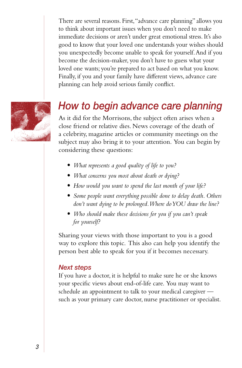There are several reasons. First, "advance care planning" allows you to think about important issues when you don't need to make immediate decisions or aren't under great emotional stress. It's also good to know that your loved one understands your wishes should you unexpectedly become unable to speak for yourself. And if you become the decision-maker, you don't have to guess what your loved one wants; you're prepared to act based on what you know. Finally, if you and your family have different views, advance care planning can help avoid serious family conflict.



### *How to begin advance care planning*

As it did for the Morrisons, the subject often arises when a close friend or relative dies. News coverage of the death of a celebrity, magazine articles or community meetings on the subject may also bring it to your attention. You can begin by considering these questions:

- *• What represents a good quality of life to you?*
- *• What concerns you most about death or dying?*
- *• How would you want to spend the last month of your life?*
- *• Some people want everything possible done to delay death. Others don't want dying to be prolonged. Where do YOU draw the line?*
- *• Who should make these decisions for you if you can't speak for yourself?*

Sharing your views with those important to you is a good way to explore this topic. This also can help you identify the person best able to speak for you if it becomes necessary.

#### *Next steps*

If you have a doctor, it is helpful to make sure he or she knows your specific views about end-of-life care. You may want to schedule an appointment to talk to your medical caregiver such as your primary care doctor, nurse practitioner or specialist.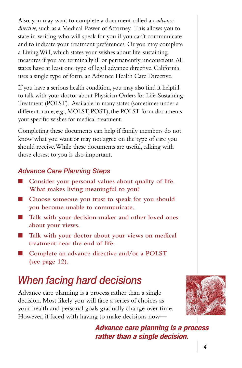Also, you may want to complete a document called an *advance directive,* such as a Medical Power of Attorney. This allows you to state in writing who will speak for you if you can't communicate and to indicate your treatment preferences. Or you may complete a Living Will, which states your wishes about life-sustaining measures if you are terminally ill or permanently unconscious. All states have at least one type of legal advance directive. California uses a single type of form, an Advance Health Care Directive.

If you have a serious health condition, you may also find it helpful to talk with your doctor about Physician Orders for Life-Sustaining Treatment (POLST). Available in many states (sometimes under a different name, e.g., MOLST, POST), the POLST form documents your specific wishes for medical treatment.

Completing these documents can help if family members do not know what you want or may not agree on the type of care you should receive. While these documents are useful, talking with those closest to you is also important.

#### *Advance Care Planning Steps*

- **n** Consider your personal values about quality of life. **What makes living meaningful to you?**
- Choose someone you trust to speak for you should **you become unable to communicate.**
- n **Talk with your decision-maker and other loved ones about your views.**
- n **Talk with your doctor about your views on medical treatment near the end of life.**
- Complete an advance directive and/or a POLST **(see page 12).**

## *When facing hard decisions*

Advance care planning is a process rather than a single decision. Most likely you will face a series of choices as your health and personal goals gradually change over time. However, if faced with having to make decisions now—



*Advance care planning is a process rather than a single decision.*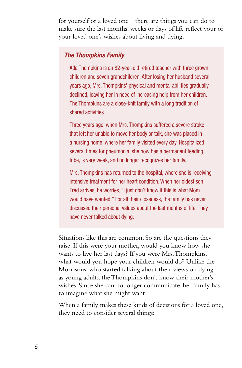for yourself or a loved one—there are things you can do to make sure the last months, weeks or days of life reflect your or your loved one's wishes about living and dying.

#### *The Thompkins Family*

Ada Thompkins is an 82-year-old retired teacher with three grown children and seven grandchildren. After losing her husband several years ago, Mrs. Thompkins' physical and mental abilities gradually declined, leaving her in need of increasing help from her children. The Thompkins are a close-knit family with a long tradition of shared activities.

Three years ago, when Mrs. Thompkins suffered a severe stroke that left her unable to move her body or talk, she was placed in a nursing home, where her family visited every day. Hospitalized several times for pneumonia, she now has a permanent feeding tube, is very weak, and no longer recognizes her family.

Mrs. Thompkins has returned to the hospital, where she is receiving intensive treatment for her heart condition. When her oldest son Fred arrives, he worries, "I just don't know if this is what Mom would have wanted." For all their closeness, the family has never discussed their personal values about the last months of life. They have never talked about dying.

Situations like this are common. So are the questions they raise: If this were your mother, would you know how she wants to live her last days? If you were Mrs. Thompkins, what would you hope your children would do? Unlike the Morrisons, who started talking about their views on dying as young adults, the Thompkins don't know their mother's wishes. Since she can no longer communicate, her family has to imagine what she might want.

When a family makes these kinds of decisions for a loved one, they need to consider several things: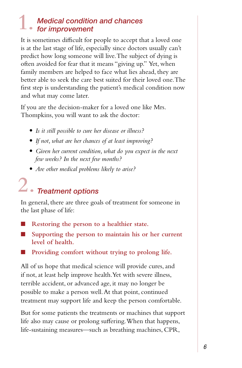#### *Medical condition and chances for improvement* **1.**

It is sometimes difficult for people to accept that a loved one is at the last stage of life, especially since doctors usually can't predict how long someone will live. The subject of dying is often avoided for fear that it means "giving up." Yet, when family members are helped to face what lies ahead, they are better able to seek the care best suited for their loved one. The first step is understanding the patient's medical condition now and what may come later.

If you are the decision-maker for a loved one like Mrs. Thompkins, you will want to ask the doctor:

- *• Is it still possible to cure her disease or illness?*
- *• If not, what are her chances of at least improving?*
- *• Given her current condition, what do you expect in the next few weeks? In the next few months?*
- *• Are other medical problems likely to arise?*

## *Treatment options* **2.**

In general, there are three goals of treatment for someone in the last phase of life:

- n **Restoring the person to a healthier state.**
- Supporting the person to maintain his or her current **level of health.**
- Providing comfort without trying to prolong life.

All of us hope that medical science will provide cures, and if not, at least help improve health. Yet with severe illness, terrible accident, or advanced age, it may no longer be possible to make a person well. At that point, continued treatment may support life and keep the person comfortable.

But for some patients the treatments or machines that support life also may cause or prolong suffering. When that happens, life-sustaining measures—such as breathing machines, CPR,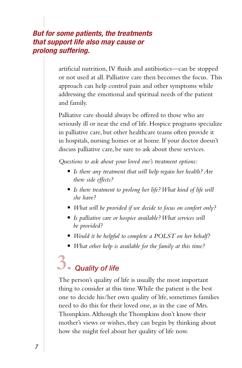#### *But for some patients, the treatments that support life also may cause or prolong suffering.*

artificial nutrition, IV fluids and antibiotics—can be stopped or not used at all. Palliative care then becomes the focus. This approach can help control pain and other symptoms while addressing the emotional and spiritual needs of the patient and family.

Palliative care should always be offered to those who are seriously ill or near the end of life. Hospice programs specialize in palliative care, but other healthcare teams often provide it in hospitals, nursing homes or at home. If your doctor doesn't discuss palliative care, be sure to ask about these services.

*Questions to ask about your loved one's treatment options:*

- *• Is there any treatment that will help regain her health? Are there side effects?*
- *• Is there treatment to prolong her life? What kind of life will she have?*
- *• What will be provided if we decide to focus on comfort only?*
- *• Is palliative care or hospice available? What services will be provided?*
- *• Would it be helpful to complete a POLST on her behalf?*
- *• What other help is available for the family at this time?*

## *Quality of life* **3.**

The person's quality of life is usually the most important thing to consider at this time. While the patient is the best one to decide his/her own quality of life, sometimes families need to do this for their loved one, as in the case of Mrs. Thompkins. Although the Thompkins don't know their mother's views or wishes, they can begin by thinking about how she might feel about her quality of life now.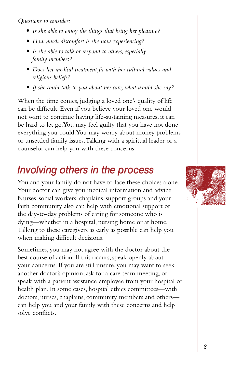*Questions to consider:*

- *• Is she able to enjoy the things that bring her pleasure?*
- *• How much discomfort is she now experiencing?*
- *• Is she able to talk or respond to others, especially family members?*
- *• Does her medical treatment fit with her cultural values and religious beliefs?*
- *• If she could talk to you about her care, what would she say?*

When the time comes, judging a loved one's quality of life can be difficult. Even if you believe your loved one would not want to continue having life-sustaining measures, it can be hard to let go. You may feel guilty that you have not done everything you could. You may worry about money problems or unsettled family issues. Talking with a spiritual leader or a counselor can help you with these concerns.

## *Involving others in the process*

You and your family do not have to face these choices alone. Your doctor can give you medical information and advice. Nurses, social workers, chaplains, support groups and your faith community also can help with emotional support or the day-to-day problems of caring for someone who is dying—whether in a hospital, nursing home or at home. Talking to these caregivers as early as possible can help you when making difficult decisions.

Sometimes, you may not agree with the doctor about the best course of action. If this occurs, speak openly about your concerns. If you are still unsure, you may want to seek another doctor's opinion, ask for a care team meeting, or speak with a patient assistance employee from your hospital or health plan. In some cases, hospital ethics committees—with doctors, nurses, chaplains, community members and others can help you and your family with these concerns and help solve conflicts.

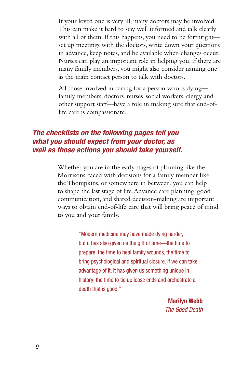If your loved one is very ill, many doctors may be involved. This can make it hard to stay well informed and talk clearly with all of them. If this happens, you need to be forthright set up meetings with the doctors, write down your questions in advance, keep notes, and be available when changes occur. Nurses can play an important role in helping you. If there are many family members, you might also consider naming one as the main contact person to talk with doctors.

All those involved in caring for a person who is dying family members, doctors, nurses, social workers, clergy and other support staff—have a role in making sure that end-oflife care is compassionate.

#### *The checklists on the following pages tell you what you should expect from your doctor, as well as those actions you should take yourself.*

Whether you are in the early stages of planning like the Morrisons, faced with decisions for a family member like the Thompkins, or somewhere in between, you can help to shape the last stage of life. Advance care planning, good communication, and shared decision-making are important ways to obtain end-of-life care that will bring peace of mind to you and your family.

> "Modern medicine may have made dying harder, but it has also given us the gift of time—the time to prepare, the time to heal family wounds, the time to bring psychological and spiritual closure. If we can take advantage of it, it has given us something unique in history: the time to tie up loose ends and orchestrate a death that is good."

> > Marilyn Webb *The Good Death*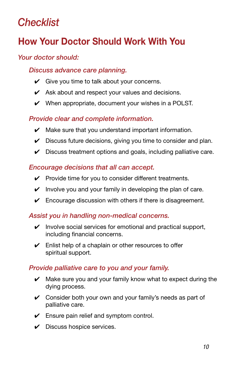## *Checklist*

### How Your Doctor Should Work With You

#### *Your doctor should:*

#### *Discuss advance care planning.*

- $\checkmark$  Give you time to talk about your concerns.
- $\mathcal V$  Ask about and respect your values and decisions.
- $\vee$  When appropriate, document your wishes in a POLST.

#### *Provide clear and complete information.*

- $\mathcal V$  Make sure that you understand important information.
- $\checkmark$  Discuss future decisions, giving you time to consider and plan.
- $\checkmark$  Discuss treatment options and goals, including palliative care.

#### *Encourage decisions that all can accept.*

- $\checkmark$  Provide time for you to consider different treatments.
- $\checkmark$  Involve you and your family in developing the plan of care.
- $\checkmark$  Encourage discussion with others if there is disagreement.

#### *Assist you in handling non-medical concerns.*

- $\checkmark$  Involve social services for emotional and practical support, including financial concerns.
- $\checkmark$  Enlist help of a chaplain or other resources to offer spiritual support.

#### *Provide palliative care to you and your family.*

- $\vee$  Make sure you and your family know what to expect during the dying process.
- $\vee$  Consider both your own and your family's needs as part of palliative care.
- $\checkmark$  Ensure pain relief and symptom control.
- $\triangleright$  Discuss hospice services.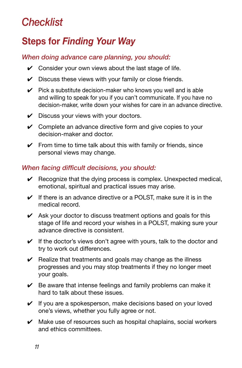## *Checklist*

### Steps for *Finding Your Way*

#### *When doing advance care planning, you should:*

- $\checkmark$  Consider your own views about the last stage of life.
- $\checkmark$  Discuss these views with your family or close friends.
- $\vee$  Pick a substitute decision-maker who knows you well and is able and willing to speak for you if you can't communicate. If you have no decision-maker, write down your wishes for care in an advance directive.
- $\checkmark$  Discuss your views with your doctors.
- $\vee$  Complete an advance directive form and give copies to your decision-maker and doctor.
- $\checkmark$  From time to time talk about this with family or friends, since personal views may change.

#### *When facing difficult decisions, you should:*

- $\checkmark$  Recognize that the dying process is complex. Unexpected medical, emotional, spiritual and practical issues may arise.
- $\checkmark$  If there is an advance directive or a POLST, make sure it is in the medical record.
- $\triangleright$  Ask your doctor to discuss treatment options and goals for this stage of life and record your wishes in a POLST, making sure your advance directive is consistent.
- $\checkmark$  If the doctor's views don't agree with yours, talk to the doctor and try to work out differences.
- $\triangleright$  Realize that treatments and goals may change as the illness progresses and you may stop treatments if they no longer meet your goals.
- $\vee$  Be aware that intense feelings and family problems can make it hard to talk about these issues.
- $\checkmark$  If you are a spokesperson, make decisions based on your loved one's views, whether you fully agree or not.
- $\mathcal V$  Make use of resources such as hospital chaplains, social workers and ethics committees.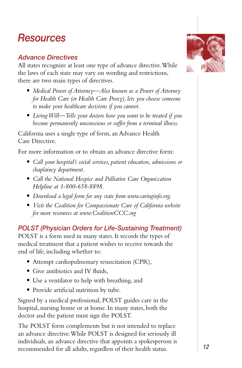## *Resources*

#### *Advance Directives*

All states recognize at least one type of advance directive. While the laws of each state may vary on wording and restrictions, there are two main types of directives.

- *• Medical Power of Attorney—Also known as a Power of Attorney for Health Care (or Health Care Proxy), lets you choose someone to make your healthcare decisions if you cannot.*
- *• Living Will—Tells your doctors how you want to be treated if you become permanently unconscious or suffer from a terminal illness.*

California uses a single type of form, an Advance Health Care Directive.

For more information or to obtain an advance directive form:

- *• Call your hospital's social services, patient education, admissions or chaplaincy department.*
- *• Call the National Hospice and Palliative Care Organization Helpline at 1-800-658-8898.*
- *• Download a legal form for any state from www.caringinfo.org.*
- *• Visit the Coalition for Compassionate Care of California website for more resources at www.CoalitionCCC.org*

*POLST (Physician Orders for Life-Sustaining Treatment)* POLST is a form used in many states. It records the types of

medical treatment that a patient wishes to receive towards the end of life, including whether to:

- *•* Attempt cardiopulmonary resuscitation (CPR),
- Give antibiotics and IV fluids,
- *•* Use a ventilator to help with breathing, and
- *•* Provide artificial nutrition by tube.

Signed by a medical professional, POLST guides care in the hospital, nursing home or at home. In many states, both the doctor and the patient must sign the POLST.

The POLST form complements but is not intended to replace an advance directive. While POLST is designed for seriously ill individuals, an advance directive that appoints a spokesperson is recommended for all adults, regardless of their health status.

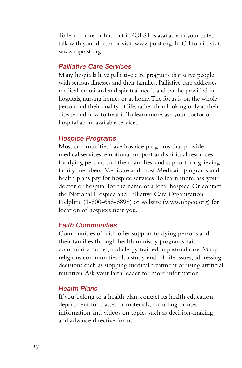To learn more or find out if POLST is available in your state, talk with your doctor or visit: www.polst.org. In California, visit: www.capolst.org.

#### *Palliative Care Services*

Many hospitals have palliative care programs that serve people with serious illnesses and their families. Palliative care addresses medical, emotional and spiritual needs and can be provided in hospitals, nursing homes or at home. The focus is on the whole person and their quality of life, rather than looking only at their disease and how to treat it. To learn more, ask your doctor or hospital about available services.

#### *Hospice Programs*

Most communities have hospice programs that provide medical services, emotional support and spiritual resources for dying persons and their families, and support for grieving family members. Medicare and most Medicaid programs and health plans pay for hospice services. To learn more, ask your doctor or hospital for the name of a local hospice. Or contact the National Hospice and Palliative Care Organization Helpline (1-800-658-8898) or website (www.nhpco.org) for location of hospices near you.

#### *Faith Communities*

Communities of faith offer support to dying persons and their families through health ministry programs, faith community nurses, and clergy trained in pastoral care. Many religious communities also study end-of-life issues, addressing decisions such as stopping medical treatment or using artificial nutrition. Ask your faith leader for more information.

#### *Health Plans*

If you belong to a health plan, contact its health education department for classes or materials, including printed information and videos on topics such as decision-making and advance directive forms.